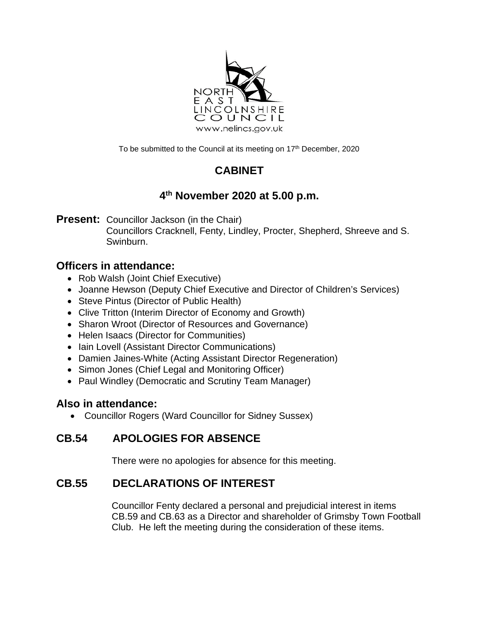

To be submitted to the Council at its meeting on 17<sup>th</sup> December, 2020

# **CABINET**

# **4th November 2020 at 5.00 p.m.**

**Present:** Councillor Jackson (in the Chair)

Councillors Cracknell, Fenty, Lindley, Procter, Shepherd, Shreeve and S. Swinburn.

## **Officers in attendance:**

- Rob Walsh (Joint Chief Executive)
- Joanne Hewson (Deputy Chief Executive and Director of Children's Services)
- Steve Pintus (Director of Public Health)
- Clive Tritton (Interim Director of Economy and Growth)
- Sharon Wroot (Director of Resources and Governance)
- Helen Isaacs (Director for Communities)
- Iain Lovell (Assistant Director Communications)
- Damien Jaines-White (Acting Assistant Director Regeneration)
- Simon Jones (Chief Legal and Monitoring Officer)
- Paul Windley (Democratic and Scrutiny Team Manager)

## **Also in attendance:**

• Councillor Rogers (Ward Councillor for Sidney Sussex)

# **CB.54 APOLOGIES FOR ABSENCE**

There were no apologies for absence for this meeting.

# **CB.55 DECLARATIONS OF INTEREST**

Councillor Fenty declared a personal and prejudicial interest in items CB.59 and CB.63 as a Director and shareholder of Grimsby Town Football Club. He left the meeting during the consideration of these items.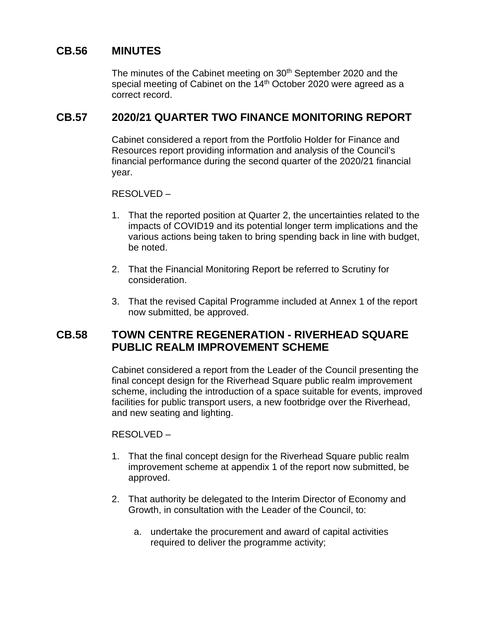### **CB.56 MINUTES**

The minutes of the Cabinet meeting on 30<sup>th</sup> September 2020 and the special meeting of Cabinet on the  $14<sup>th</sup>$  October 2020 were agreed as a correct record.

#### **CB.57 2020/21 QUARTER TWO FINANCE MONITORING REPORT**

Cabinet considered a report from the Portfolio Holder for Finance and Resources report providing information and analysis of the Council's financial performance during the second quarter of the 2020/21 financial year.

#### RESOLVED –

- 1. That the reported position at Quarter 2, the uncertainties related to the impacts of COVID19 and its potential longer term implications and the various actions being taken to bring spending back in line with budget, be noted.
- 2. That the Financial Monitoring Report be referred to Scrutiny for consideration.
- 3. That the revised Capital Programme included at Annex 1 of the report now submitted, be approved.

#### **CB.58 TOWN CENTRE REGENERATION - RIVERHEAD SQUARE PUBLIC REALM IMPROVEMENT SCHEME**

Cabinet considered a report from the Leader of the Council presenting the final concept design for the Riverhead Square public realm improvement scheme, including the introduction of a space suitable for events, improved facilities for public transport users, a new footbridge over the Riverhead, and new seating and lighting.

RESOLVED –

- 1. That the final concept design for the Riverhead Square public realm improvement scheme at appendix 1 of the report now submitted, be approved.
- 2. That authority be delegated to the Interim Director of Economy and Growth, in consultation with the Leader of the Council, to:
	- a. undertake the procurement and award of capital activities required to deliver the programme activity;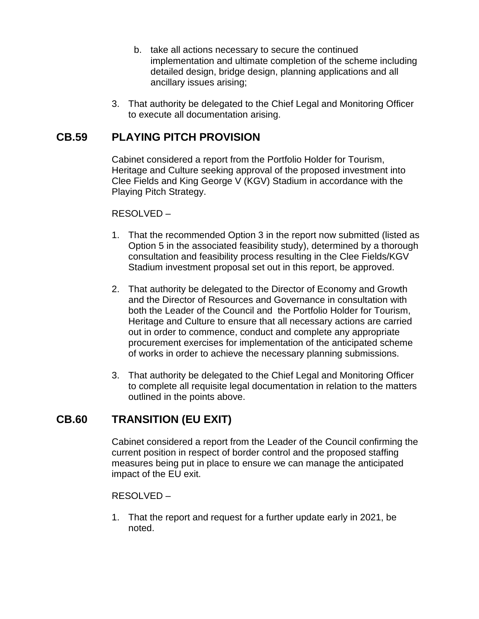- b. take all actions necessary to secure the continued implementation and ultimate completion of the scheme including detailed design, bridge design, planning applications and all ancillary issues arising;
- 3. That authority be delegated to the Chief Legal and Monitoring Officer to execute all documentation arising.

### **CB.59 PLAYING PITCH PROVISION**

Cabinet considered a report from the Portfolio Holder for Tourism, Heritage and Culture seeking approval of the proposed investment into Clee Fields and King George V (KGV) Stadium in accordance with the Playing Pitch Strategy.

RESOLVED –

- 1. That the recommended Option 3 in the report now submitted (listed as Option 5 in the associated feasibility study), determined by a thorough consultation and feasibility process resulting in the Clee Fields/KGV Stadium investment proposal set out in this report, be approved.
- 2. That authority be delegated to the Director of Economy and Growth and the Director of Resources and Governance in consultation with both the Leader of the Council and the Portfolio Holder for Tourism, Heritage and Culture to ensure that all necessary actions are carried out in order to commence, conduct and complete any appropriate procurement exercises for implementation of the anticipated scheme of works in order to achieve the necessary planning submissions.
- 3. That authority be delegated to the Chief Legal and Monitoring Officer to complete all requisite legal documentation in relation to the matters outlined in the points above.

### **CB.60 TRANSITION (EU EXIT)**

Cabinet considered a report from the Leader of the Council confirming the current position in respect of border control and the proposed staffing measures being put in place to ensure we can manage the anticipated impact of the EU exit.

#### RESOLVED –

1. That the report and request for a further update early in 2021, be noted.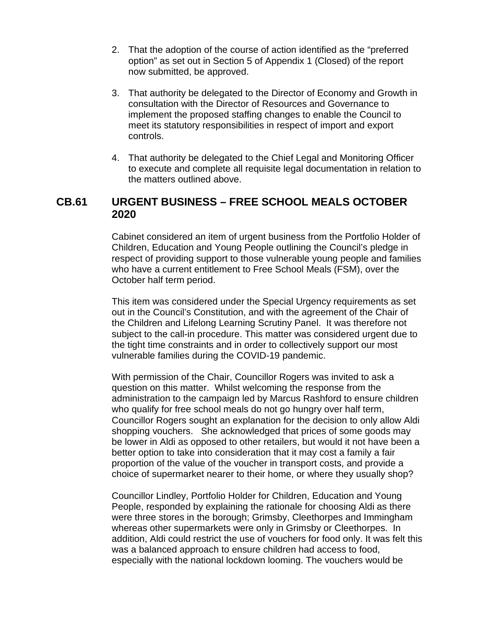- 2. That the adoption of the course of action identified as the "preferred option" as set out in Section 5 of Appendix 1 (Closed) of the report now submitted, be approved.
- 3. That authority be delegated to the Director of Economy and Growth in consultation with the Director of Resources and Governance to implement the proposed staffing changes to enable the Council to meet its statutory responsibilities in respect of import and export controls.
- 4. That authority be delegated to the Chief Legal and Monitoring Officer to execute and complete all requisite legal documentation in relation to the matters outlined above.

### **CB.61 URGENT BUSINESS – FREE SCHOOL MEALS OCTOBER 2020**

Cabinet considered an item of urgent business from the Portfolio Holder of Children, Education and Young People outlining the Council's pledge in respect of providing support to those vulnerable young people and families who have a current entitlement to Free School Meals (FSM), over the October half term period.

This item was considered under the Special Urgency requirements as set out in the Council's Constitution, and with the agreement of the Chair of the Children and Lifelong Learning Scrutiny Panel. It was therefore not subject to the call-in procedure. This matter was considered urgent due to the tight time constraints and in order to collectively support our most vulnerable families during the COVID-19 pandemic.

With permission of the Chair, Councillor Rogers was invited to ask a question on this matter. Whilst welcoming the response from the administration to the campaign led by Marcus Rashford to ensure children who qualify for free school meals do not go hungry over half term, Councillor Rogers sought an explanation for the decision to only allow Aldi shopping vouchers. She acknowledged that prices of some goods may be lower in Aldi as opposed to other retailers, but would it not have been a better option to take into consideration that it may cost a family a fair proportion of the value of the voucher in transport costs, and provide a choice of supermarket nearer to their home, or where they usually shop?

Councillor Lindley, Portfolio Holder for Children, Education and Young People, responded by explaining the rationale for choosing Aldi as there were three stores in the borough; Grimsby, Cleethorpes and Immingham whereas other supermarkets were only in Grimsby or Cleethorpes. In addition, Aldi could restrict the use of vouchers for food only. It was felt this was a balanced approach to ensure children had access to food, especially with the national lockdown looming. The vouchers would be